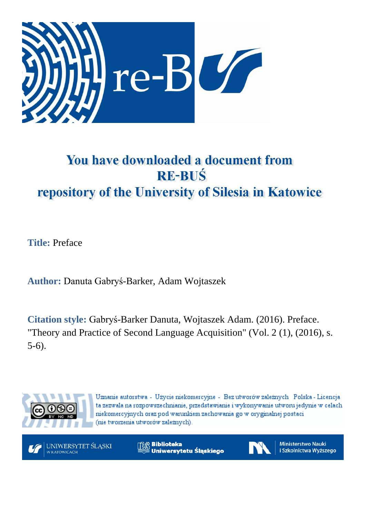

## You have downloaded a document from **RE-BUŚ** repository of the University of Silesia in Katowice

**Title:** Preface

**Author:** Danuta Gabryś-Barker, Adam Wojtaszek

**Citation style:** Gabryś-Barker Danuta, Wojtaszek Adam. (2016). Preface. "Theory and Practice of Second Language Acquisition" (Vol. 2 (1), (2016), s. 5-6).



Uznanie autorstwa - Użycie niekomercyjne - Bez utworów zależnych Polska - Licencja ta zezwala na rozpowszechnianie, przedstawianie i wykonywanie utworu jedynie w celach niekomercyjnych oraz pod warunkiem zachowania go w oryginalnej postaci (nie tworzenia utworów zależnych).

UNIWERSYTET ŚLĄSKI W KATOWICACH

**Biblioteka** Uniwersytetu Ślaskiego



**Ministerstwo Nauki** i Szkolnictwa Wyższego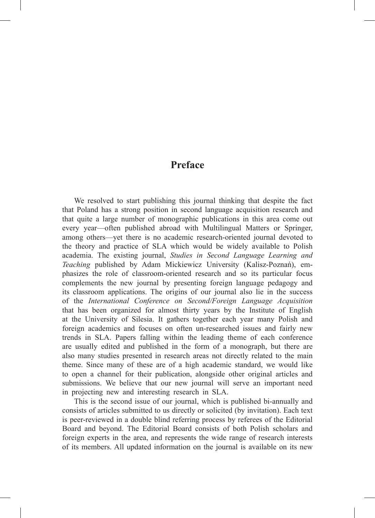## **Preface**

We resolved to start publishing this journal thinking that despite the fact that Poland has a strong position in second language acquisition research and that quite a large number of monographic publications in this area come out every year—often published abroad with Multilingual Matters or Springer, among others—yet there is no academic research-oriented journal devoted to the theory and practice of SLA which would be widely available to Polish academia. The existing journal, *Studies in Second Language Learning and Teaching* published by Adam Mickiewicz University (Kalisz-Poznań), emphasizes the role of classroom-oriented research and so its particular focus complements the new journal by presenting foreign language pedagogy and its classroom applications. The origins of our journal also lie in the success of the *International Conference on Second/Foreign Language Acquisition*  that has been organized for almost thirty years by the Institute of English at the University of Silesia. It gathers together each year many Polish and foreign academics and focuses on often un-researched issues and fairly new trends in SLA. Papers falling within the leading theme of each conference are usually edited and published in the form of a monograph, but there are also many studies presented in research areas not directly related to the main theme. Since many of these are of a high academic standard, we would like to open a channel for their publication, alongside other original articles and submissions. We believe that our new journal will serve an important need in projecting new and interesting research in SLA.

This is the second issue of our journal, which is published bi-annually and consists of articles submitted to us directly or solicited (by invitation). Each text is peer-reviewed in a double blind referring process by referees of the Editorial Board and beyond. The Editorial Board consists of both Polish scholars and foreign experts in the area, and represents the wide range of research interests of its members. All updated information on the journal is available on its new